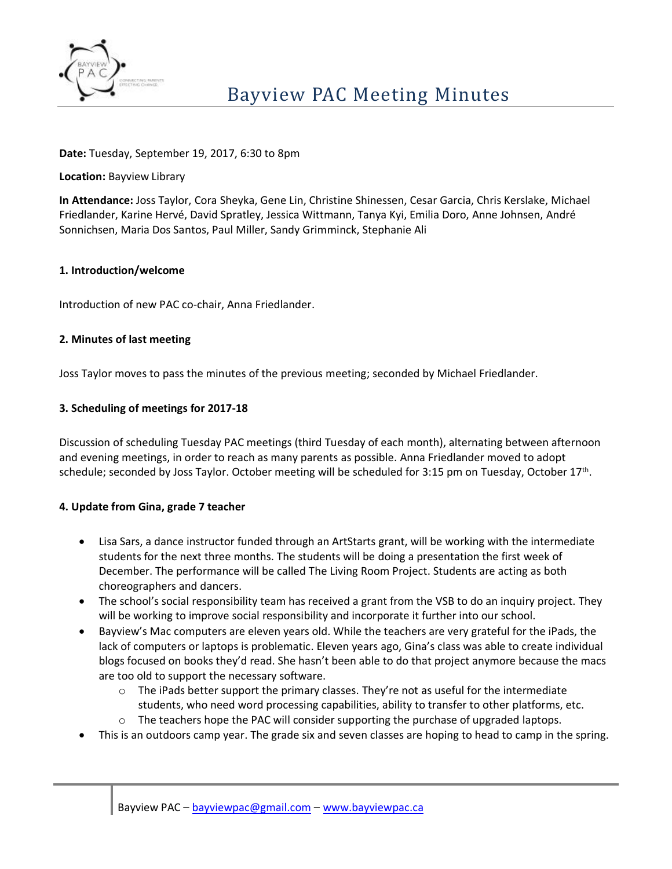

## **Date:** Tuesday, September 19, 2017, 6:30 to 8pm

**Location:** Bayview Library

**In Attendance:** Joss Taylor, Cora Sheyka, Gene Lin, Christine Shinessen, Cesar Garcia, Chris Kerslake, Michael Friedlander, Karine Hervé, David Spratley, Jessica Wittmann, Tanya Kyi, Emilia Doro, Anne Johnsen, André Sonnichsen, Maria Dos Santos, Paul Miller, Sandy Grimminck, Stephanie Ali

## **1. Introduction/welcome**

Introduction of new PAC co-chair, Anna Friedlander.

## **2. Minutes of last meeting**

Joss Taylor moves to pass the minutes of the previous meeting; seconded by Michael Friedlander.

## **3. Scheduling of meetings for 2017-18**

Discussion of scheduling Tuesday PAC meetings (third Tuesday of each month), alternating between afternoon and evening meetings, in order to reach as many parents as possible. Anna Friedlander moved to adopt schedule; seconded by Joss Taylor. October meeting will be scheduled for 3:15 pm on Tuesday, October 17<sup>th</sup>.

## **4. Update from Gina, grade 7 teacher**

- Lisa Sars, a dance instructor funded through an ArtStarts grant, will be working with the intermediate students for the next three months. The students will be doing a presentation the first week of December. The performance will be called The Living Room Project. Students are acting as both choreographers and dancers.
- The school's social responsibility team has received a grant from the VSB to do an inquiry project. They will be working to improve social responsibility and incorporate it further into our school.
- Bayview's Mac computers are eleven years old. While the teachers are very grateful for the iPads, the lack of computers or laptops is problematic. Eleven years ago, Gina's class was able to create individual blogs focused on books they'd read. She hasn't been able to do that project anymore because the macs are too old to support the necessary software.
	- $\circ$  The iPads better support the primary classes. They're not as useful for the intermediate students, who need word processing capabilities, ability to transfer to other platforms, etc.
	- $\circ$  The teachers hope the PAC will consider supporting the purchase of upgraded laptops.
- This is an outdoors camp year. The grade six and seven classes are hoping to head to camp in the spring.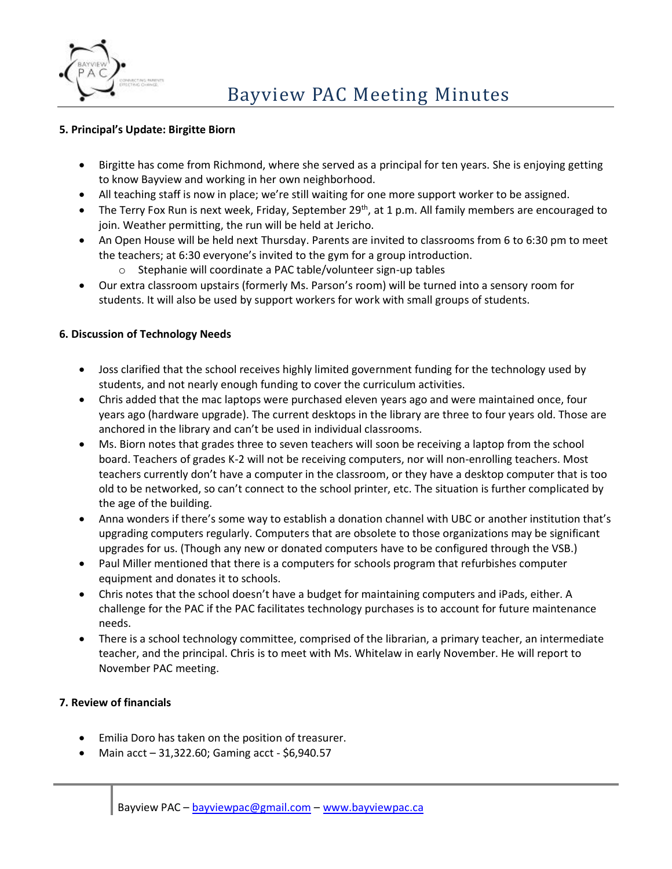

## **5. Principal's Update: Birgitte Biorn**

- Birgitte has come from Richmond, where she served as a principal for ten years. She is enjoying getting to know Bayview and working in her own neighborhood.
- All teaching staff is now in place; we're still waiting for one more support worker to be assigned.
- The Terry Fox Run is next week, Friday, September 29<sup>th</sup>, at 1 p.m. All family members are encouraged to join. Weather permitting, the run will be held at Jericho.
- An Open House will be held next Thursday. Parents are invited to classrooms from 6 to 6:30 pm to meet the teachers; at 6:30 everyone's invited to the gym for a group introduction.
	- o Stephanie will coordinate a PAC table/volunteer sign-up tables
- Our extra classroom upstairs (formerly Ms. Parson's room) will be turned into a sensory room for students. It will also be used by support workers for work with small groups of students.

# **6. Discussion of Technology Needs**

- Joss clarified that the school receives highly limited government funding for the technology used by students, and not nearly enough funding to cover the curriculum activities.
- Chris added that the mac laptops were purchased eleven years ago and were maintained once, four years ago (hardware upgrade). The current desktops in the library are three to four years old. Those are anchored in the library and can't be used in individual classrooms.
- Ms. Biorn notes that grades three to seven teachers will soon be receiving a laptop from the school board. Teachers of grades K-2 will not be receiving computers, nor will non-enrolling teachers. Most teachers currently don't have a computer in the classroom, or they have a desktop computer that is too old to be networked, so can't connect to the school printer, etc. The situation is further complicated by the age of the building.
- Anna wonders if there's some way to establish a donation channel with UBC or another institution that's upgrading computers regularly. Computers that are obsolete to those organizations may be significant upgrades for us. (Though any new or donated computers have to be configured through the VSB.)
- Paul Miller mentioned that there is a computers for schools program that refurbishes computer equipment and donates it to schools.
- Chris notes that the school doesn't have a budget for maintaining computers and iPads, either. A challenge for the PAC if the PAC facilitates technology purchases is to account for future maintenance needs.
- There is a school technology committee, comprised of the librarian, a primary teacher, an intermediate teacher, and the principal. Chris is to meet with Ms. Whitelaw in early November. He will report to November PAC meeting.

# **7. Review of financials**

- Emilia Doro has taken on the position of treasurer.
- Main  $acct 31,322.60$ ; Gaming  $acct 56,940.57$